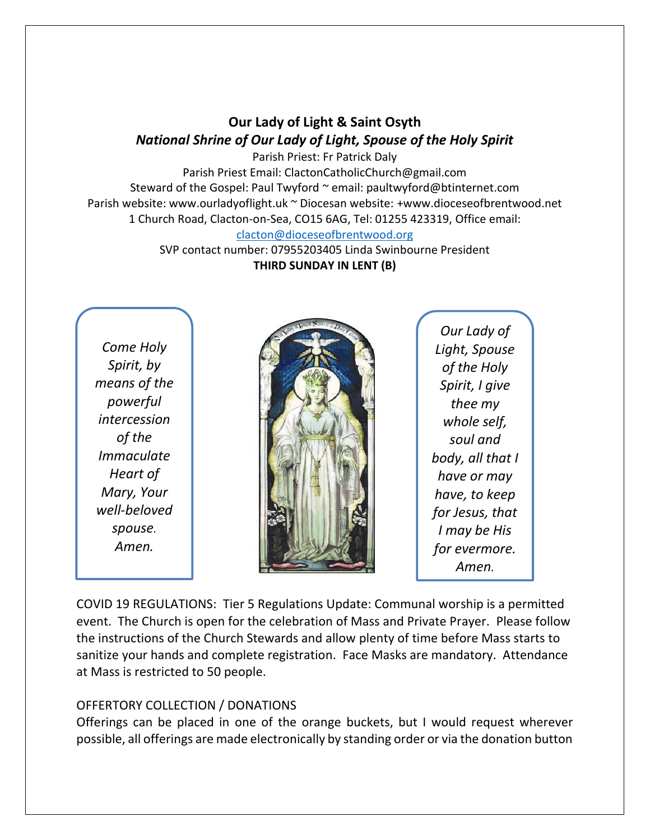## **Our Lady of Light & Saint Osyth** *National Shrine of Our Lady of Light, Spouse of the Holy Spirit*

Parish Priest: Fr Patrick Daly Parish Priest Email: ClactonCatholicChurch@gmail.com Steward of the Gospel: Paul Twyford ~ email: paultwyford@btinternet.com Parish website: www.ourladyoflight.uk ~ Diocesan website: +www.dioceseofbrentwood.net 1 Church Road, Clacton-on-Sea, CO15 6AG, Tel: 01255 423319, Office email: [clacton@dioceseofbrentwood.org](mailto:clacton@dioceseofbrentwood.org)

> SVP contact number: 07955203405 Linda Swinbourne President **THIRD SUNDAY IN LENT (B)**

*Come Holy Spirit, by means of the powerful intercession of the Immaculate Heart of Mary, Your well-beloved spouse. Amen.*



*Our Lady of Light, Spouse of the Holy Spirit, I give thee my whole self, soul and body, all that I have or may have, to keep for Jesus, that I may be His for evermore. Amen.*

COVID 19 REGULATIONS: Tier 5 Regulations Update: Communal worship is a permitted event. The Church is open for the celebration of Mass and Private Prayer. Please follow the instructions of the Church Stewards and allow plenty of time before Mass starts to sanitize your hands and complete registration. Face Masks are mandatory. Attendance at Mass is restricted to 50 people.

## OFFERTORY COLLECTION / DONATIONS

Offerings can be placed in one of the orange buckets, but I would request wherever possible, all offerings are made electronically by standing order or via the donation button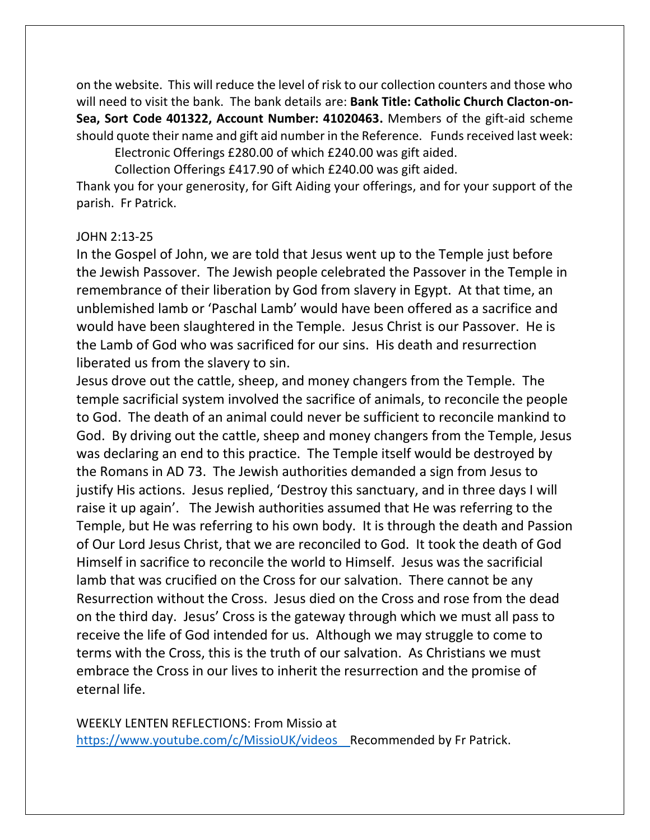on the website. This will reduce the level of risk to our collection counters and those who will need to visit the bank. The bank details are: **Bank Title: Catholic Church Clacton-on-Sea, Sort Code 401322, Account Number: 41020463.** Members of the gift-aid scheme should quote their name and gift aid number in the Reference. Funds received last week:

Electronic Offerings £280.00 of which £240.00 was gift aided. Collection Offerings £417.90 of which £240.00 was gift aided.

Thank you for your generosity, for Gift Aiding your offerings, and for your support of the parish. Fr Patrick.

## JOHN 2:13-25

In the Gospel of John, we are told that Jesus went up to the Temple just before the Jewish Passover. The Jewish people celebrated the Passover in the Temple in remembrance of their liberation by God from slavery in Egypt. At that time, an unblemished lamb or 'Paschal Lamb' would have been offered as a sacrifice and would have been slaughtered in the Temple. Jesus Christ is our Passover. He is the Lamb of God who was sacrificed for our sins. His death and resurrection liberated us from the slavery to sin.

Jesus drove out the cattle, sheep, and money changers from the Temple. The temple sacrificial system involved the sacrifice of animals, to reconcile the people to God. The death of an animal could never be sufficient to reconcile mankind to God. By driving out the cattle, sheep and money changers from the Temple, Jesus was declaring an end to this practice. The Temple itself would be destroyed by the Romans in AD 73. The Jewish authorities demanded a sign from Jesus to justify His actions. Jesus replied, 'Destroy this sanctuary, and in three days I will raise it up again'. The Jewish authorities assumed that He was referring to the Temple, but He was referring to his own body. It is through the death and Passion of Our Lord Jesus Christ, that we are reconciled to God. It took the death of God Himself in sacrifice to reconcile the world to Himself. Jesus was the sacrificial lamb that was crucified on the Cross for our salvation. There cannot be any Resurrection without the Cross. Jesus died on the Cross and rose from the dead on the third day. Jesus' Cross is the gateway through which we must all pass to receive the life of God intended for us. Although we may struggle to come to terms with the Cross, this is the truth of our salvation. As Christians we must embrace the Cross in our lives to inherit the resurrection and the promise of eternal life.

WEEKLY LENTEN REFLECTIONS: From Missio at <https://www.youtube.com/c/MissioUK/videos>Recommended by Fr Patrick.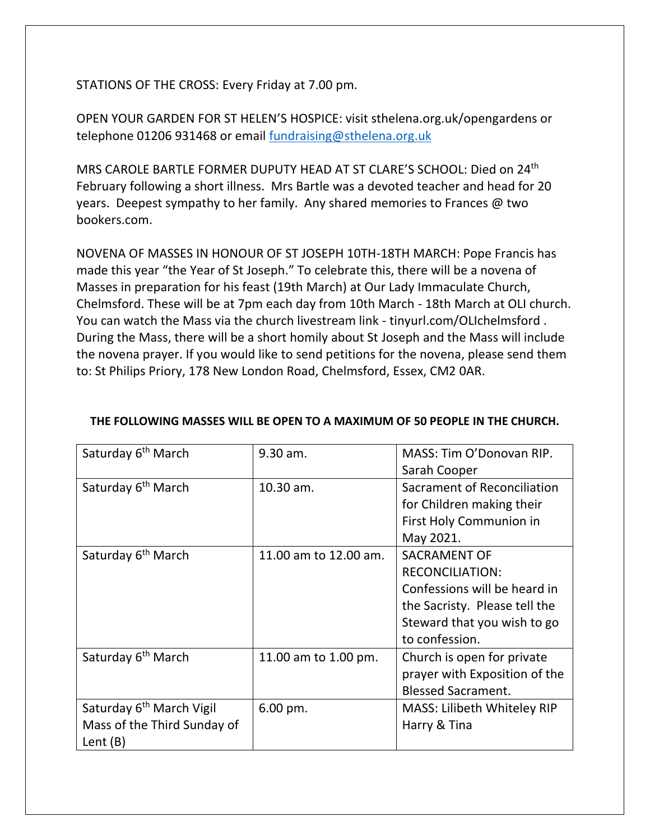STATIONS OF THE CROSS: Every Friday at 7.00 pm.

OPEN YOUR GARDEN FOR ST HELEN'S HOSPICE: visit sthelena.org.uk/opengardens or telephone 01206 931468 or email [fundraising@sthelena.org.uk](mailto:fundraising@sthelena.org.uk)

MRS CAROLE BARTLE FORMER DUPUTY HEAD AT ST CLARE'S SCHOOL: Died on 24th February following a short illness. Mrs Bartle was a devoted teacher and head for 20 years. Deepest sympathy to her family. Any shared memories to Frances @ two bookers.com.

NOVENA OF MASSES IN HONOUR OF ST JOSEPH 10TH-18TH MARCH: Pope Francis has made this year "the Year of St Joseph." To celebrate this, there will be a novena of Masses in preparation for his feast (19th March) at Our Lady Immaculate Church, Chelmsford. These will be at 7pm each day from 10th March - 18th March at OLI church. You can watch the Mass via the church livestream link - tinyurl.com/OLIchelmsford . During the Mass, there will be a short homily about St Joseph and the Mass will include the novena prayer. If you would like to send petitions for the novena, please send them to: St Philips Priory, 178 New London Road, Chelmsford, Essex, CM2 0AR.

| Saturday 6 <sup>th</sup> March       | 9.30 am.               | MASS: Tim O'Donovan RIP.           |
|--------------------------------------|------------------------|------------------------------------|
|                                      |                        | Sarah Cooper                       |
| Saturday 6 <sup>th</sup> March       | 10.30 am.              | Sacrament of Reconciliation        |
|                                      |                        | for Children making their          |
|                                      |                        | First Holy Communion in            |
|                                      |                        | May 2021.                          |
| Saturday 6 <sup>th</sup> March       | 11.00 am to 12.00 am.  | <b>SACRAMENT OF</b>                |
|                                      |                        | <b>RECONCILIATION:</b>             |
|                                      |                        | Confessions will be heard in       |
|                                      |                        | the Sacristy. Please tell the      |
|                                      |                        | Steward that you wish to go        |
|                                      |                        | to confession.                     |
| Saturday 6 <sup>th</sup> March       | 11.00 am to 1.00 pm.   | Church is open for private         |
|                                      |                        | prayer with Exposition of the      |
|                                      |                        | <b>Blessed Sacrament.</b>          |
| Saturday 6 <sup>th</sup> March Vigil | $6.00 \,\mathrm{pm}$ . | <b>MASS: Lilibeth Whiteley RIP</b> |
| Mass of the Third Sunday of          |                        | Harry & Tina                       |
| Lent $(B)$                           |                        |                                    |

## **THE FOLLOWING MASSES WILL BE OPEN TO A MAXIMUM OF 50 PEOPLE IN THE CHURCH.**